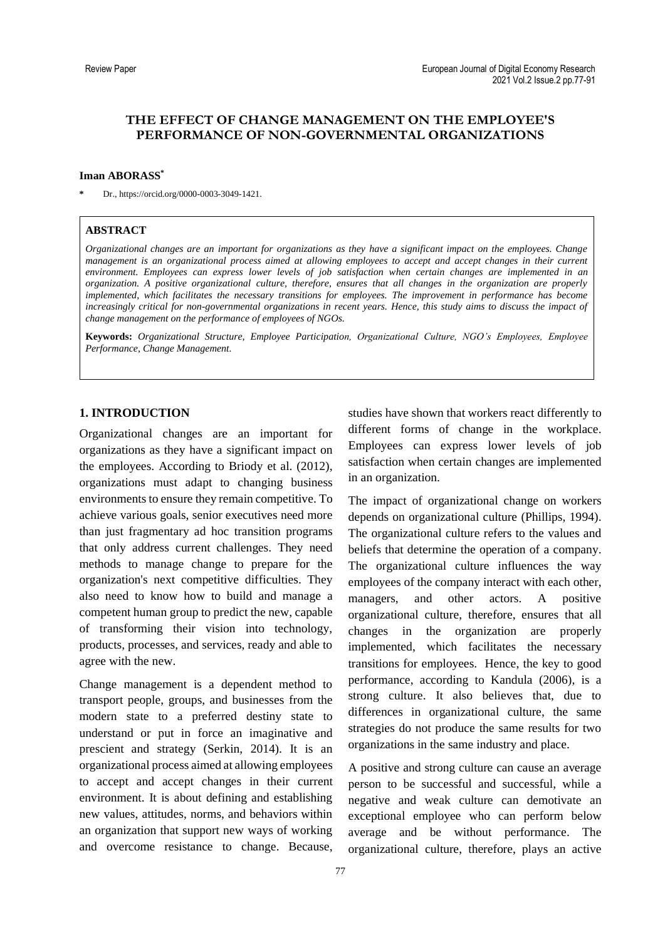# **THE EFFECT OF CHANGE MANAGEMENT ON THE EMPLOYEE'S PERFORMANCE OF NON-GOVERNMENTAL ORGANIZATIONS**

#### **Iman ABORASS\***

**\*** Dr., https://orcid.org/0000-0003-3049-1421.

## **ABSTRACT**

*Organizational changes are an important for organizations as they have a significant impact on the employees. Change management is an organizational process aimed at allowing employees to accept and accept changes in their current environment. Employees can express lower levels of job satisfaction when certain changes are implemented in an organization. A positive organizational culture, therefore, ensures that all changes in the organization are properly implemented, which facilitates the necessary transitions for employees. The improvement in performance has become increasingly critical for non-governmental organizations in recent years. Hence, this study aims to discuss the impact of change management on the performance of employees of NGOs.*

**Keywords:** *Organizational Structure, Employee Participation, Organizational Culture, NGO's Employees, Employee Performance, Change Management.*

## **1. INTRODUCTION**

Organizational changes are an important for organizations as they have a significant impact on the employees. According to Briody et al. (2012), organizations must adapt to changing business environments to ensure they remain competitive. To achieve various goals, senior executives need more than just fragmentary ad hoc transition programs that only address current challenges. They need methods to manage change to prepare for the organization's next competitive difficulties. They also need to know how to build and manage a competent human group to predict the new, capable of transforming their vision into technology, products, processes, and services, ready and able to agree with the new.

Change management is a dependent method to transport people, groups, and businesses from the modern state to a preferred destiny state to understand or put in force an imaginative and prescient and strategy (Serkin, 2014). It is an organizational process aimed at allowing employees to accept and accept changes in their current environment. It is about defining and establishing new values, attitudes, norms, and behaviors within an organization that support new ways of working and overcome resistance to change. Because,

studies have shown that workers react differently to different forms of change in the workplace. Employees can express lower levels of job satisfaction when certain changes are implemented in an organization.

The impact of organizational change on workers depends on organizational culture (Phillips, 1994). The organizational culture refers to the values and beliefs that determine the operation of a company. The organizational culture influences the way employees of the company interact with each other, managers, and other actors. A positive organizational culture, therefore, ensures that all changes in the organization are properly implemented, which facilitates the necessary transitions for employees. Hence, the key to good performance, according to Kandula (2006), is a strong culture. It also believes that, due to differences in organizational culture, the same strategies do not produce the same results for two organizations in the same industry and place.

A positive and strong culture can cause an average person to be successful and successful, while a negative and weak culture can demotivate an exceptional employee who can perform below average and be without performance. The organizational culture, therefore, plays an active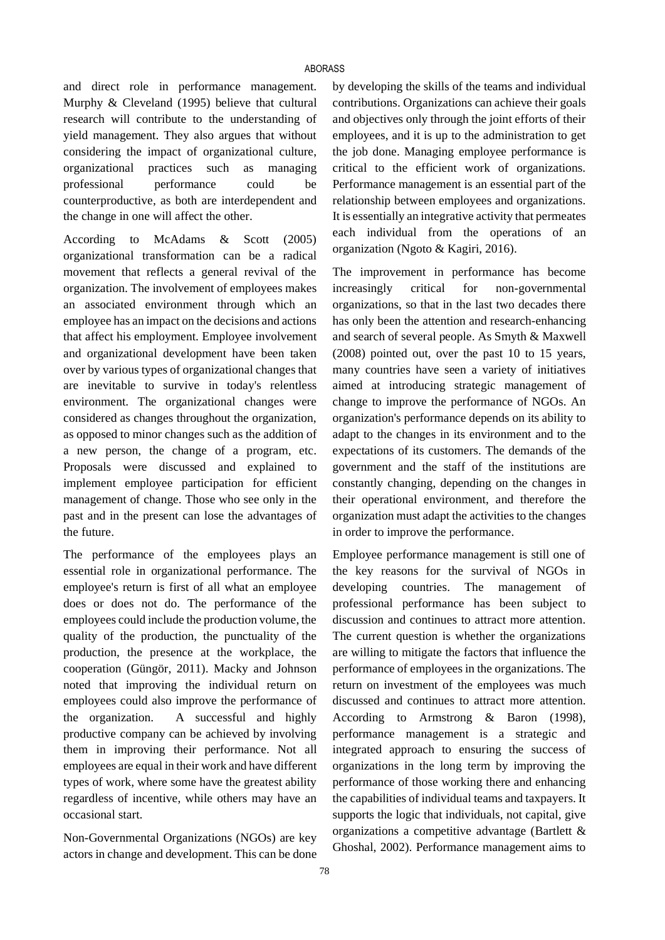and direct role in performance management. Murphy & Cleveland (1995) believe that cultural research will contribute to the understanding of yield management. They also argues that without considering the impact of organizational culture, organizational practices such as managing professional performance could be counterproductive, as both are interdependent and the change in one will affect the other.

According to McAdams & Scott (2005) organizational transformation can be a radical movement that reflects a general revival of the organization. The involvement of employees makes an associated environment through which an employee has an impact on the decisions and actions that affect his employment. Employee involvement and organizational development have been taken over by various types of organizational changes that are inevitable to survive in today's relentless environment. The organizational changes were considered as changes throughout the organization, as opposed to minor changes such as the addition of a new person, the change of a program, etc. Proposals were discussed and explained to implement employee participation for efficient management of change. Those who see only in the past and in the present can lose the advantages of the future.

The performance of the employees plays an essential role in organizational performance. The employee's return is first of all what an employee does or does not do. The performance of the employees could include the production volume, the quality of the production, the punctuality of the production, the presence at the workplace, the cooperation (Güngör, 2011). Macky and Johnson noted that improving the individual return on employees could also improve the performance of the organization. A successful and highly productive company can be achieved by involving them in improving their performance. Not all employees are equal in their work and have different types of work, where some have the greatest ability regardless of incentive, while others may have an occasional start.

Non-Governmental Organizations (NGOs) are key actors in change and development. This can be done by developing the skills of the teams and individual contributions. Organizations can achieve their goals and objectives only through the joint efforts of their employees, and it is up to the administration to get the job done. Managing employee performance is critical to the efficient work of organizations. Performance management is an essential part of the relationship between employees and organizations. It is essentially an integrative activity that permeates each individual from the operations of an organization (Ngoto & Kagiri, 2016).

The improvement in performance has become increasingly critical for non-governmental organizations, so that in the last two decades there has only been the attention and research-enhancing and search of several people. As Smyth & Maxwell (2008) pointed out, over the past 10 to 15 years, many countries have seen a variety of initiatives aimed at introducing strategic management of change to improve the performance of NGOs. An organization's performance depends on its ability to adapt to the changes in its environment and to the expectations of its customers. The demands of the government and the staff of the institutions are constantly changing, depending on the changes in their operational environment, and therefore the organization must adapt the activities to the changes in order to improve the performance.

Employee performance management is still one of the key reasons for the survival of NGOs in developing countries. The management of professional performance has been subject to discussion and continues to attract more attention. The current question is whether the organizations are willing to mitigate the factors that influence the performance of employees in the organizations. The return on investment of the employees was much discussed and continues to attract more attention. According to Armstrong & Baron (1998), performance management is a strategic and integrated approach to ensuring the success of organizations in the long term by improving the performance of those working there and enhancing the capabilities of individual teams and taxpayers. It supports the logic that individuals, not capital, give organizations a competitive advantage (Bartlett & Ghoshal, 2002). Performance management aims to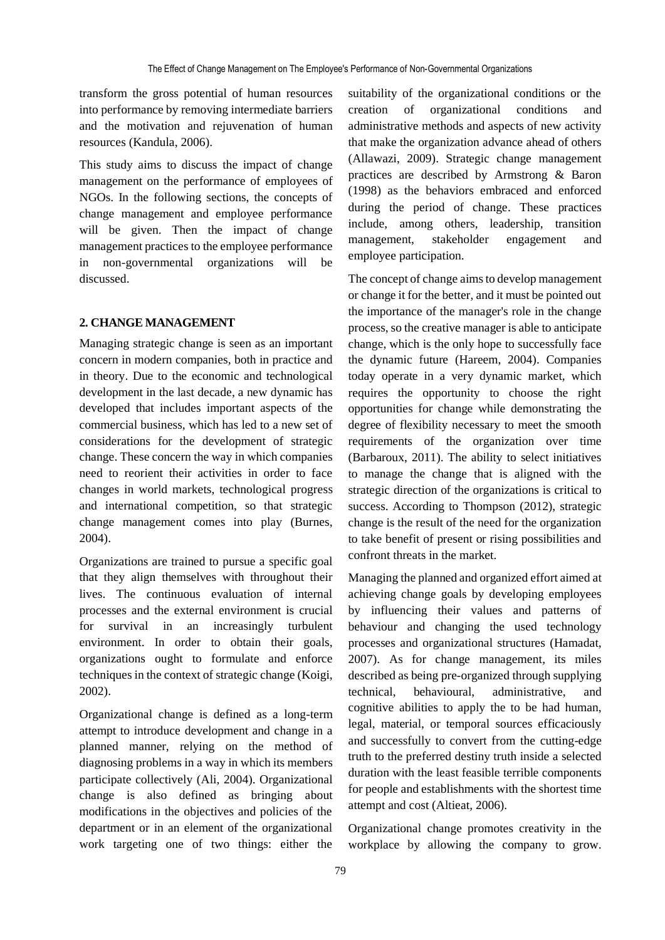transform the gross potential of human resources into performance by removing intermediate barriers and the motivation and rejuvenation of human resources (Kandula, 2006).

This study aims to discuss the impact of change management on the performance of employees of NGOs. In the following sections, the concepts of change management and employee performance will be given. Then the impact of change management practices to the employee performance in non-governmental organizations will be discussed.

### **2. CHANGE MANAGEMENT**

Managing strategic change is seen as an important concern in modern companies, both in practice and in theory. Due to the economic and technological development in the last decade, a new dynamic has developed that includes important aspects of the commercial business, which has led to a new set of considerations for the development of strategic change. These concern the way in which companies need to reorient their activities in order to face changes in world markets, technological progress and international competition, so that strategic change management comes into play (Burnes, 2004).

Organizations are trained to pursue a specific goal that they align themselves with throughout their lives. The continuous evaluation of internal processes and the external environment is crucial for survival in an increasingly turbulent environment. In order to obtain their goals, organizations ought to formulate and enforce techniques in the context of strategic change (Koigi, 2002).

Organizational change is defined as a long-term attempt to introduce development and change in a planned manner, relying on the method of diagnosing problems in a way in which its members participate collectively (Ali, 2004). Organizational change is also defined as bringing about modifications in the objectives and policies of the department or in an element of the organizational work targeting one of two things: either the

suitability of the organizational conditions or the creation of organizational conditions and administrative methods and aspects of new activity that make the organization advance ahead of others (Allawazi, 2009). Strategic change management practices are described by Armstrong & Baron (1998) as the behaviors embraced and enforced during the period of change. These practices include, among others, leadership, transition management, stakeholder engagement and employee participation.

The concept of change aims to develop management or change it for the better, and it must be pointed out the importance of the manager's role in the change process, so the creative manager is able to anticipate change, which is the only hope to successfully face the dynamic future (Hareem, 2004). Companies today operate in a very dynamic market, which requires the opportunity to choose the right opportunities for change while demonstrating the degree of flexibility necessary to meet the smooth requirements of the organization over time (Barbaroux, 2011). The ability to select initiatives to manage the change that is aligned with the strategic direction of the organizations is critical to success. According to Thompson (2012), strategic change is the result of the need for the organization to take benefit of present or rising possibilities and confront threats in the market.

Managing the planned and organized effort aimed at achieving change goals by developing employees by influencing their values and patterns of behaviour and changing the used technology processes and organizational structures (Hamadat, 2007). As for change management, its miles described as being pre-organized through supplying technical, behavioural, administrative, and cognitive abilities to apply the to be had human, legal, material, or temporal sources efficaciously and successfully to convert from the cutting-edge truth to the preferred destiny truth inside a selected duration with the least feasible terrible components for people and establishments with the shortest time attempt and cost (Altieat, 2006).

Organizational change promotes creativity in the workplace by allowing the company to grow.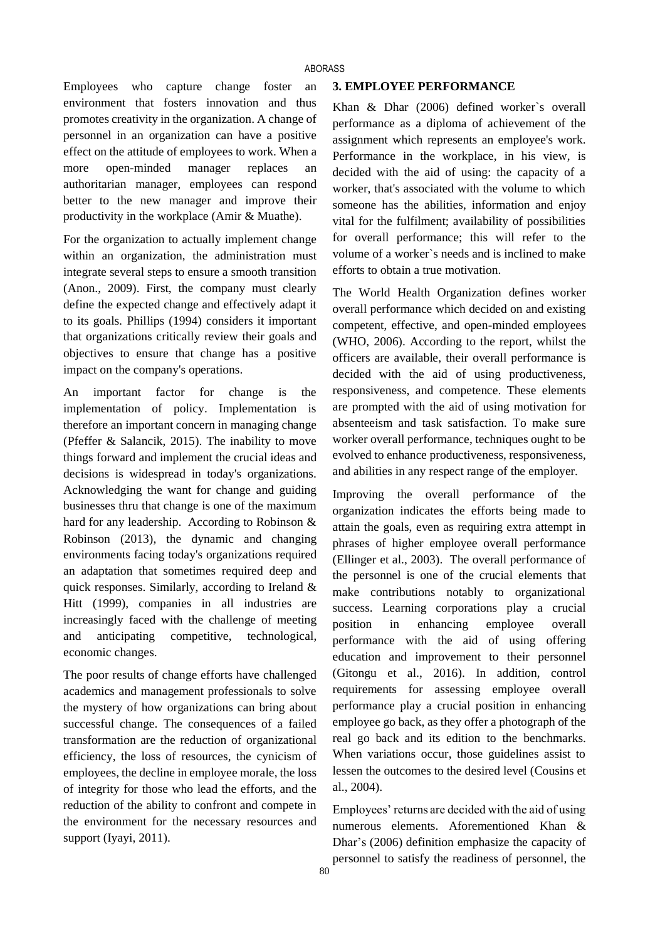#### ABORASS

Employees who capture change foster an environment that fosters innovation and thus promotes creativity in the organization. A change of personnel in an organization can have a positive effect on the attitude of employees to work. When a more open-minded manager replaces an authoritarian manager, employees can respond better to the new manager and improve their productivity in the workplace (Amir & Muathe).

For the organization to actually implement change within an organization, the administration must integrate several steps to ensure a smooth transition (Anon., 2009). First, the company must clearly define the expected change and effectively adapt it to its goals. Phillips (1994) considers it important that organizations critically review their goals and objectives to ensure that change has a positive impact on the company's operations.

An important factor for change is the implementation of policy. Implementation is therefore an important concern in managing change (Pfeffer & Salancik, 2015). The inability to move things forward and implement the crucial ideas and decisions is widespread in today's organizations. Acknowledging the want for change and guiding businesses thru that change is one of the maximum hard for any leadership. According to Robinson & Robinson (2013), the dynamic and changing environments facing today's organizations required an adaptation that sometimes required deep and quick responses. Similarly, according to Ireland & Hitt (1999), companies in all industries are increasingly faced with the challenge of meeting and anticipating competitive, technological, economic changes.

The poor results of change efforts have challenged academics and management professionals to solve the mystery of how organizations can bring about successful change. The consequences of a failed transformation are the reduction of organizational efficiency, the loss of resources, the cynicism of employees, the decline in employee morale, the loss of integrity for those who lead the efforts, and the reduction of the ability to confront and compete in the environment for the necessary resources and support (Iyayi, 2011).

## **3. EMPLOYEE PERFORMANCE**

Khan & Dhar (2006) defined worker`s overall performance as a diploma of achievement of the assignment which represents an employee's work. Performance in the workplace, in his view, is decided with the aid of using: the capacity of a worker, that's associated with the volume to which someone has the abilities, information and enjoy vital for the fulfilment; availability of possibilities for overall performance; this will refer to the volume of a worker`s needs and is inclined to make efforts to obtain a true motivation.

The World Health Organization defines worker overall performance which decided on and existing competent, effective, and open-minded employees (WHO, 2006). According to the report, whilst the officers are available, their overall performance is decided with the aid of using productiveness, responsiveness, and competence. These elements are prompted with the aid of using motivation for absenteeism and task satisfaction. To make sure worker overall performance, techniques ought to be evolved to enhance productiveness, responsiveness, and abilities in any respect range of the employer.

Improving the overall performance of the organization indicates the efforts being made to attain the goals, even as requiring extra attempt in phrases of higher employee overall performance (Ellinger et al., 2003). The overall performance of the personnel is one of the crucial elements that make contributions notably to organizational success. Learning corporations play a crucial position in enhancing employee overall performance with the aid of using offering education and improvement to their personnel (Gitongu et al., 2016). In addition, control requirements for assessing employee overall performance play a crucial position in enhancing employee go back, as they offer a photograph of the real go back and its edition to the benchmarks. When variations occur, those guidelines assist to lessen the outcomes to the desired level (Cousins et al., 2004).

Employees' returns are decided with the aid of using numerous elements. Aforementioned Khan & Dhar's (2006) definition emphasize the capacity of personnel to satisfy the readiness of personnel, the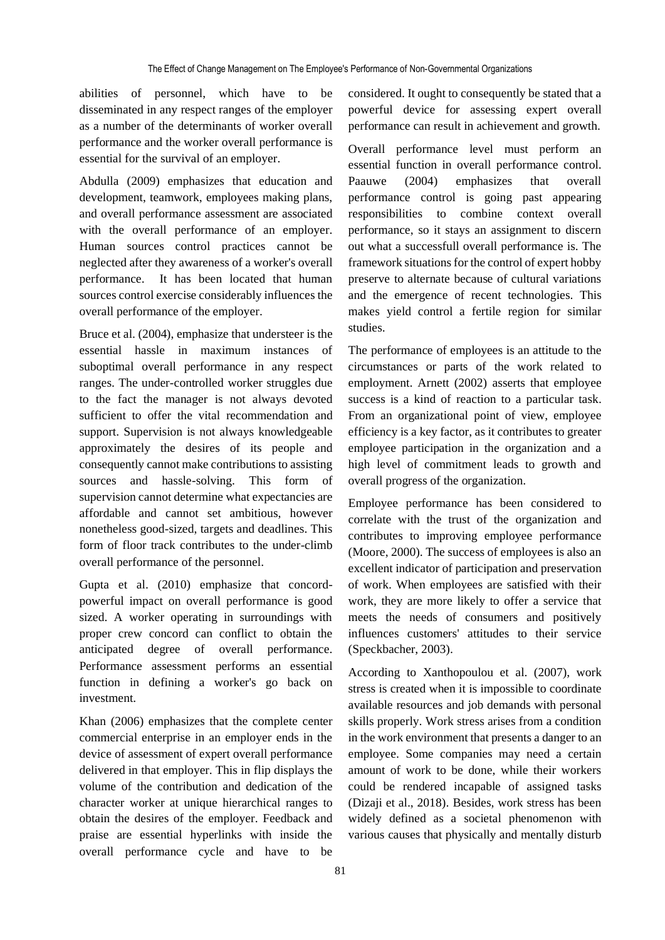abilities of personnel, which have to be disseminated in any respect ranges of the employer as a number of the determinants of worker overall performance and the worker overall performance is essential for the survival of an employer.

Abdulla (2009) emphasizes that education and development, teamwork, employees making plans, and overall performance assessment are associated with the overall performance of an employer. Human sources control practices cannot be neglected after they awareness of a worker's overall performance. It has been located that human sources control exercise considerably influences the overall performance of the employer.

Bruce et al. (2004), emphasize that understeer is the essential hassle in maximum instances of suboptimal overall performance in any respect ranges. The under-controlled worker struggles due to the fact the manager is not always devoted sufficient to offer the vital recommendation and support. Supervision is not always knowledgeable approximately the desires of its people and consequently cannot make contributions to assisting sources and hassle-solving. This form of supervision cannot determine what expectancies are affordable and cannot set ambitious, however nonetheless good-sized, targets and deadlines. This form of floor track contributes to the under-climb overall performance of the personnel.

Gupta et al. (2010) emphasize that concordpowerful impact on overall performance is good sized. A worker operating in surroundings with proper crew concord can conflict to obtain the anticipated degree of overall performance. Performance assessment performs an essential function in defining a worker's go back on investment.

Khan (2006) emphasizes that the complete center commercial enterprise in an employer ends in the device of assessment of expert overall performance delivered in that employer. This in flip displays the volume of the contribution and dedication of the character worker at unique hierarchical ranges to obtain the desires of the employer. Feedback and praise are essential hyperlinks with inside the overall performance cycle and have to be

considered. It ought to consequently be stated that a powerful device for assessing expert overall performance can result in achievement and growth.

Overall performance level must perform an essential function in overall performance control. Paauwe (2004) emphasizes that overall performance control is going past appearing responsibilities to combine context overall performance, so it stays an assignment to discern out what a successfull overall performance is. The framework situations for the control of expert hobby preserve to alternate because of cultural variations and the emergence of recent technologies. This makes yield control a fertile region for similar studies.

The performance of employees is an attitude to the circumstances or parts of the work related to employment. Arnett (2002) asserts that employee success is a kind of reaction to a particular task. From an organizational point of view, employee efficiency is a key factor, as it contributes to greater employee participation in the organization and a high level of commitment leads to growth and overall progress of the organization.

Employee performance has been considered to correlate with the trust of the organization and contributes to improving employee performance (Moore, 2000). The success of employees is also an excellent indicator of participation and preservation of work. When employees are satisfied with their work, they are more likely to offer a service that meets the needs of consumers and positively influences customers' attitudes to their service (Speckbacher, 2003).

According to Xanthopoulou et al. (2007), work stress is created when it is impossible to coordinate available resources and job demands with personal skills properly. Work stress arises from a condition in the work environment that presents a danger to an employee. Some companies may need a certain amount of work to be done, while their workers could be rendered incapable of assigned tasks (Dizaji et al., 2018). Besides, work stress has been widely defined as a societal phenomenon with various causes that physically and mentally disturb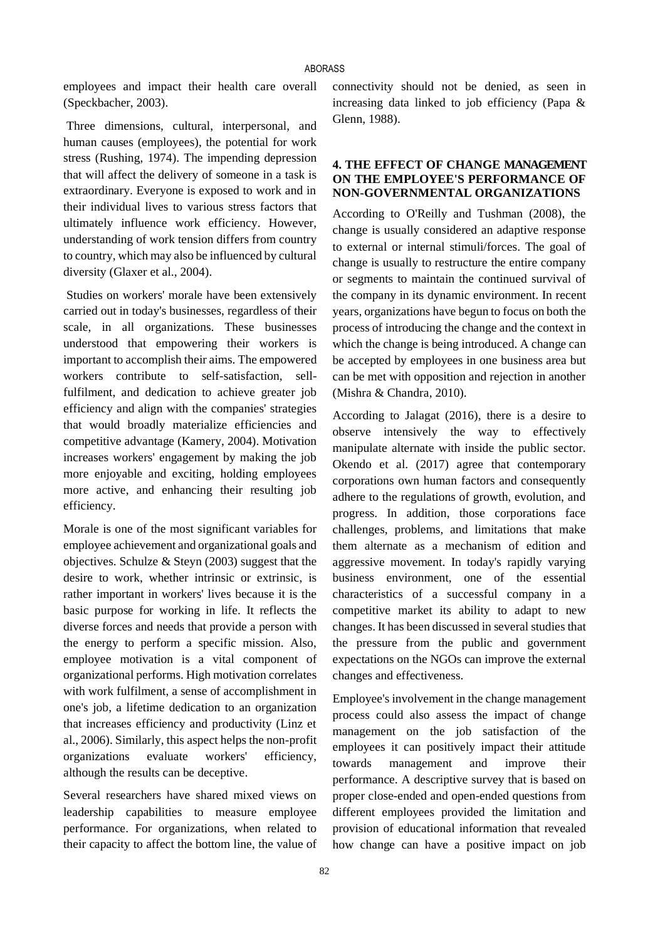employees and impact their health care overall (Speckbacher, 2003).

Three dimensions, cultural, interpersonal, and human causes (employees), the potential for work stress (Rushing, 1974). The impending depression that will affect the delivery of someone in a task is extraordinary. Everyone is exposed to work and in their individual lives to various stress factors that ultimately influence work efficiency. However, understanding of work tension differs from country to country, which may also be influenced by cultural diversity (Glaxer et al., 2004).

Studies on workers' morale have been extensively carried out in today's businesses, regardless of their scale, in all organizations. These businesses understood that empowering their workers is important to accomplish their aims. The empowered workers contribute to self-satisfaction, sellfulfilment, and dedication to achieve greater job efficiency and align with the companies' strategies that would broadly materialize efficiencies and competitive advantage (Kamery, 2004). Motivation increases workers' engagement by making the job more enjoyable and exciting, holding employees more active, and enhancing their resulting job efficiency.

Morale is one of the most significant variables for employee achievement and organizational goals and objectives. Schulze & Steyn (2003) suggest that the desire to work, whether intrinsic or extrinsic, is rather important in workers' lives because it is the basic purpose for working in life. It reflects the diverse forces and needs that provide a person with the energy to perform a specific mission. Also, employee motivation is a vital component of organizational performs. High motivation correlates with work fulfilment, a sense of accomplishment in one's job, a lifetime dedication to an organization that increases efficiency and productivity (Linz et al., 2006). Similarly, this aspect helps the non-profit organizations evaluate workers' efficiency, although the results can be deceptive.

Several researchers have shared mixed views on leadership capabilities to measure employee performance. For organizations, when related to their capacity to affect the bottom line, the value of connectivity should not be denied, as seen in increasing data linked to job efficiency (Papa & Glenn, 1988).

## **4. THE EFFECT OF CHANGE MANAGEMENT ON THE EMPLOYEE'S PERFORMANCE OF NON-GOVERNMENTAL ORGANIZATIONS**

According to O'Reilly and Tushman (2008), the change is usually considered an adaptive response to external or internal stimuli/forces. The goal of change is usually to restructure the entire company or segments to maintain the continued survival of the company in its dynamic environment. In recent years, organizations have begun to focus on both the process of introducing the change and the context in which the change is being introduced. A change can be accepted by employees in one business area but can be met with opposition and rejection in another (Mishra & Chandra, 2010).

According to Jalagat (2016), there is a desire to observe intensively the way to effectively manipulate alternate with inside the public sector. Okendo et al. (2017) agree that contemporary corporations own human factors and consequently adhere to the regulations of growth, evolution, and progress. In addition, those corporations face challenges, problems, and limitations that make them alternate as a mechanism of edition and aggressive movement. In today's rapidly varying business environment, one of the essential characteristics of a successful company in a competitive market its ability to adapt to new changes. It has been discussed in several studies that the pressure from the public and government expectations on the NGOs can improve the external changes and effectiveness.

Employee's involvement in the change management process could also assess the impact of change management on the job satisfaction of the employees it can positively impact their attitude towards management and improve their performance. A descriptive survey that is based on proper close-ended and open-ended questions from different employees provided the limitation and provision of educational information that revealed how change can have a positive impact on job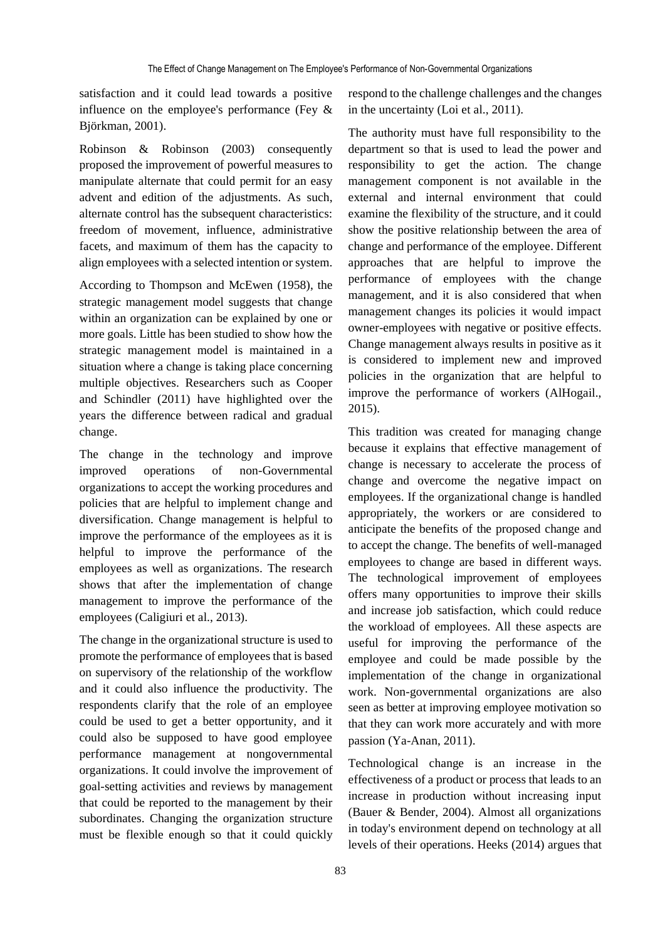satisfaction and it could lead towards a positive influence on the employee's performance (Fey & Björkman, 2001).

Robinson & Robinson (2003) consequently proposed the improvement of powerful measures to manipulate alternate that could permit for an easy advent and edition of the adjustments. As such, alternate control has the subsequent characteristics: freedom of movement, influence, administrative facets, and maximum of them has the capacity to align employees with a selected intention or system.

According to Thompson and McEwen (1958), the strategic management model suggests that change within an organization can be explained by one or more goals. Little has been studied to show how the strategic management model is maintained in a situation where a change is taking place concerning multiple objectives. Researchers such as Cooper and Schindler (2011) have highlighted over the years the difference between radical and gradual change.

The change in the technology and improve improved operations of non-Governmental organizations to accept the working procedures and policies that are helpful to implement change and diversification. Change management is helpful to improve the performance of the employees as it is helpful to improve the performance of the employees as well as organizations. The research shows that after the implementation of change management to improve the performance of the employees (Caligiuri et al., 2013).

The change in the organizational structure is used to promote the performance of employees that is based on supervisory of the relationship of the workflow and it could also influence the productivity. The respondents clarify that the role of an employee could be used to get a better opportunity, and it could also be supposed to have good employee performance management at nongovernmental organizations. It could involve the improvement of goal-setting activities and reviews by management that could be reported to the management by their subordinates. Changing the organization structure must be flexible enough so that it could quickly

respond to the challenge challenges and the changes in the uncertainty (Loi et al., 2011).

The authority must have full responsibility to the department so that is used to lead the power and responsibility to get the action. The change management component is not available in the external and internal environment that could examine the flexibility of the structure, and it could show the positive relationship between the area of change and performance of the employee. Different approaches that are helpful to improve the performance of employees with the change management, and it is also considered that when management changes its policies it would impact owner-employees with negative or positive effects. Change management always results in positive as it is considered to implement new and improved policies in the organization that are helpful to improve the performance of workers (AlHogail., 2015).

This tradition was created for managing change because it explains that effective management of change is necessary to accelerate the process of change and overcome the negative impact on employees. If the organizational change is handled appropriately, the workers or are considered to anticipate the benefits of the proposed change and to accept the change. The benefits of well-managed employees to change are based in different ways. The technological improvement of employees offers many opportunities to improve their skills and increase job satisfaction, which could reduce the workload of employees. All these aspects are useful for improving the performance of the employee and could be made possible by the implementation of the change in organizational work. Non-governmental organizations are also seen as better at improving employee motivation so that they can work more accurately and with more passion (Ya-Anan, 2011).

Technological change is an increase in the effectiveness of a product or process that leads to an increase in production without increasing input (Bauer & Bender, 2004). Almost all organizations in today's environment depend on technology at all levels of their operations. Heeks (2014) argues that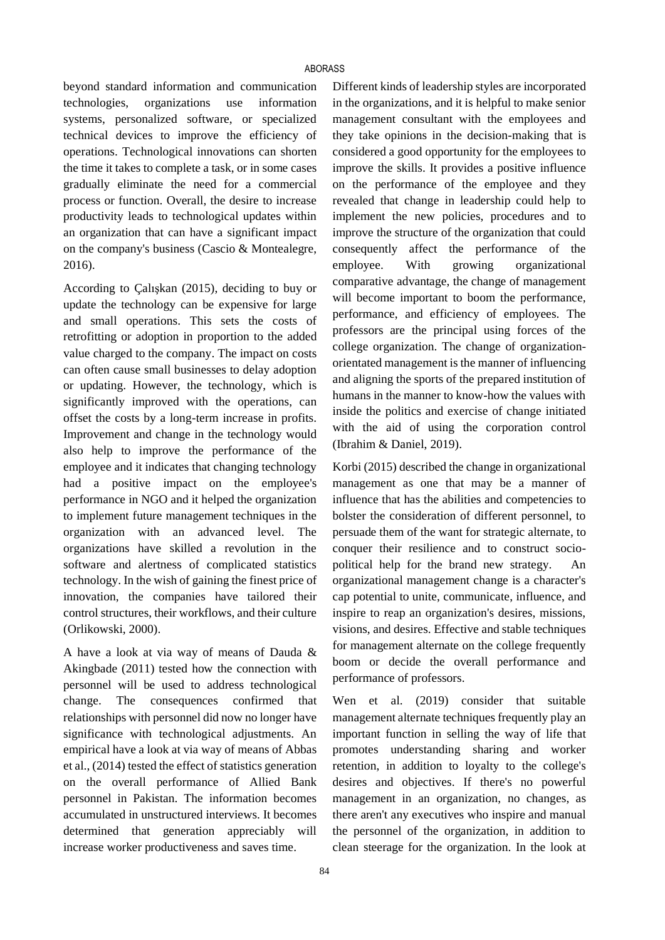beyond standard information and communication technologies, organizations use information systems, personalized software, or specialized technical devices to improve the efficiency of operations. Technological innovations can shorten the time it takes to complete a task, or in some cases gradually eliminate the need for a commercial process or function. Overall, the desire to increase productivity leads to technological updates within an organization that can have a significant impact on the company's business (Cascio & Montealegre, 2016).

According to Çalışkan (2015), deciding to buy or update the technology can be expensive for large and small operations. This sets the costs of retrofitting or adoption in proportion to the added value charged to the company. The impact on costs can often cause small businesses to delay adoption or updating. However, the technology, which is significantly improved with the operations, can offset the costs by a long-term increase in profits. Improvement and change in the technology would also help to improve the performance of the employee and it indicates that changing technology had a positive impact on the employee's performance in NGO and it helped the organization to implement future management techniques in the organization with an advanced level. The organizations have skilled a revolution in the software and alertness of complicated statistics technology. In the wish of gaining the finest price of innovation, the companies have tailored their control structures, their workflows, and their culture (Orlikowski, 2000).

A have a look at via way of means of Dauda & Akingbade (2011) tested how the connection with personnel will be used to address technological change. The consequences confirmed that relationships with personnel did now no longer have significance with technological adjustments. An empirical have a look at via way of means of Abbas et al., (2014) tested the effect of statistics generation on the overall performance of Allied Bank personnel in Pakistan. The information becomes accumulated in unstructured interviews. It becomes determined that generation appreciably will increase worker productiveness and saves time.

Different kinds of leadership styles are incorporated in the organizations, and it is helpful to make senior management consultant with the employees and they take opinions in the decision-making that is considered a good opportunity for the employees to improve the skills. It provides a positive influence on the performance of the employee and they revealed that change in leadership could help to implement the new policies, procedures and to improve the structure of the organization that could consequently affect the performance of the employee. With growing organizational comparative advantage, the change of management will become important to boom the performance, performance, and efficiency of employees. The professors are the principal using forces of the college organization. The change of organizationorientated management is the manner of influencing and aligning the sports of the prepared institution of humans in the manner to know-how the values with inside the politics and exercise of change initiated with the aid of using the corporation control (Ibrahim & Daniel, 2019).

Korbi (2015) described the change in organizational management as one that may be a manner of influence that has the abilities and competencies to bolster the consideration of different personnel, to persuade them of the want for strategic alternate, to conquer their resilience and to construct sociopolitical help for the brand new strategy. An organizational management change is a character's cap potential to unite, communicate, influence, and inspire to reap an organization's desires, missions, visions, and desires. Effective and stable techniques for management alternate on the college frequently boom or decide the overall performance and performance of professors.

Wen et al. (2019) consider that suitable management alternate techniques frequently play an important function in selling the way of life that promotes understanding sharing and worker retention, in addition to loyalty to the college's desires and objectives. If there's no powerful management in an organization, no changes, as there aren't any executives who inspire and manual the personnel of the organization, in addition to clean steerage for the organization. In the look at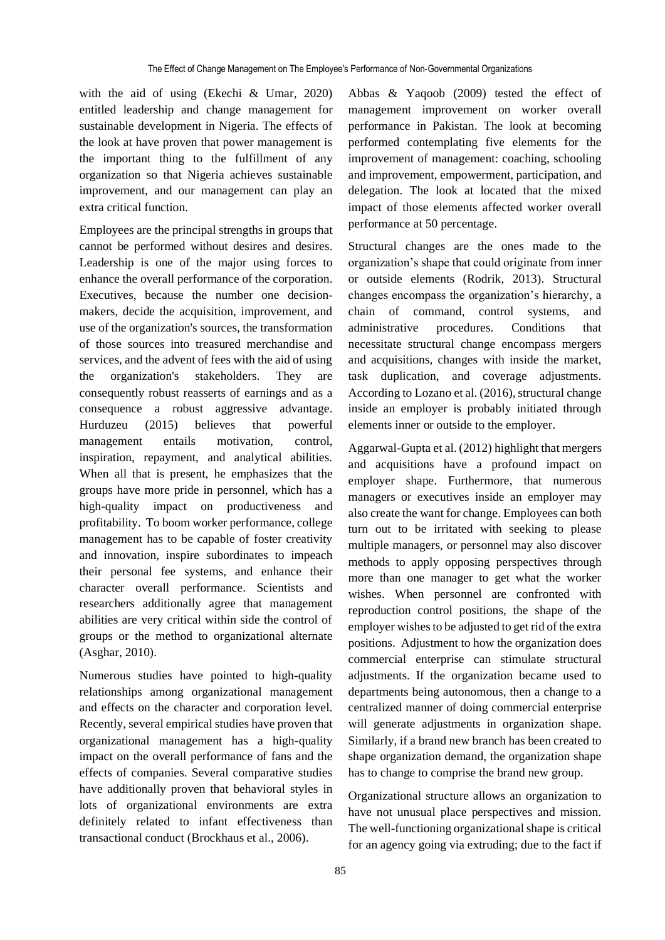with the aid of using (Ekechi & Umar, 2020) entitled leadership and change management for sustainable development in Nigeria. The effects of the look at have proven that power management is the important thing to the fulfillment of any organization so that Nigeria achieves sustainable improvement, and our management can play an extra critical function.

Employees are the principal strengths in groups that cannot be performed without desires and desires. Leadership is one of the major using forces to enhance the overall performance of the corporation. Executives, because the number one decisionmakers, decide the acquisition, improvement, and use of the organization's sources, the transformation of those sources into treasured merchandise and services, and the advent of fees with the aid of using the organization's stakeholders. They are consequently robust reasserts of earnings and as a consequence a robust aggressive advantage. Hurduzeu (2015) believes that powerful management entails motivation, control, inspiration, repayment, and analytical abilities. When all that is present, he emphasizes that the groups have more pride in personnel, which has a high-quality impact on productiveness and profitability. To boom worker performance, college management has to be capable of foster creativity and innovation, inspire subordinates to impeach their personal fee systems, and enhance their character overall performance. Scientists and researchers additionally agree that management abilities are very critical within side the control of groups or the method to organizational alternate (Asghar, 2010).

Numerous studies have pointed to high-quality relationships among organizational management and effects on the character and corporation level. Recently, several empirical studies have proven that organizational management has a high-quality impact on the overall performance of fans and the effects of companies. Several comparative studies have additionally proven that behavioral styles in lots of organizational environments are extra definitely related to infant effectiveness than transactional conduct (Brockhaus et al., 2006).

Abbas & Yaqoob (2009) tested the effect of management improvement on worker overall performance in Pakistan. The look at becoming performed contemplating five elements for the improvement of management: coaching, schooling and improvement, empowerment, participation, and delegation. The look at located that the mixed impact of those elements affected worker overall performance at 50 percentage.

Structural changes are the ones made to the organization's shape that could originate from inner or outside elements (Rodrik, 2013). Structural changes encompass the organization's hierarchy, a chain of command, control systems, and administrative procedures. Conditions that necessitate structural change encompass mergers and acquisitions, changes with inside the market, task duplication, and coverage adjustments. According to Lozano et al. (2016), structural change inside an employer is probably initiated through elements inner or outside to the employer.

Aggarwal-Gupta et al. (2012) highlight that mergers and acquisitions have a profound impact on employer shape. Furthermore, that numerous managers or executives inside an employer may also create the want for change. Employees can both turn out to be irritated with seeking to please multiple managers, or personnel may also discover methods to apply opposing perspectives through more than one manager to get what the worker wishes. When personnel are confronted with reproduction control positions, the shape of the employer wishes to be adjusted to get rid of the extra positions. Adjustment to how the organization does commercial enterprise can stimulate structural adjustments. If the organization became used to departments being autonomous, then a change to a centralized manner of doing commercial enterprise will generate adjustments in organization shape. Similarly, if a brand new branch has been created to shape organization demand, the organization shape has to change to comprise the brand new group.

Organizational structure allows an organization to have not unusual place perspectives and mission. The well-functioning organizational shape is critical for an agency going via extruding; due to the fact if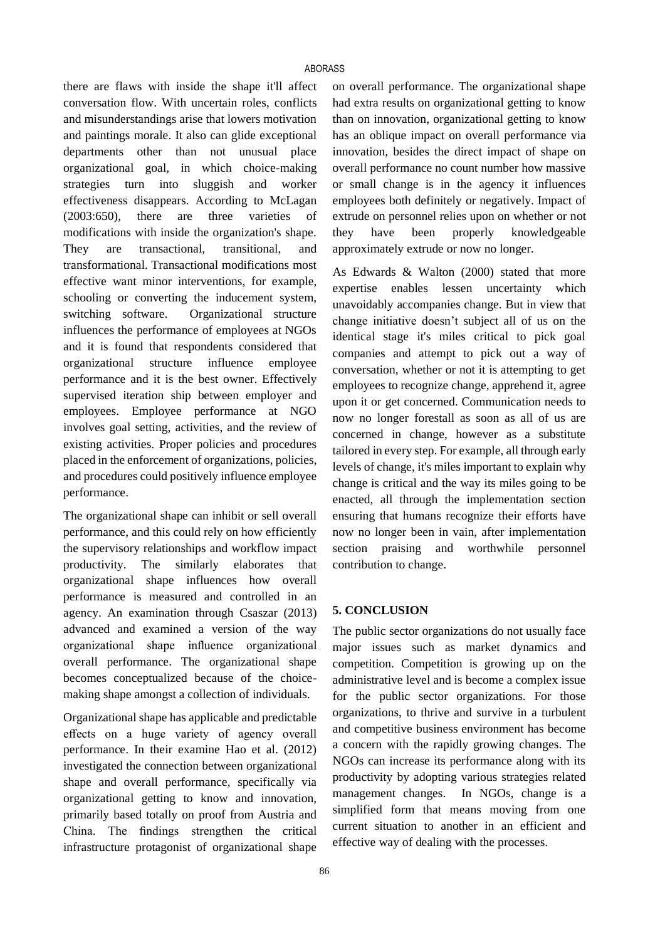there are flaws with inside the shape it'll affect conversation flow. With uncertain roles, conflicts and misunderstandings arise that lowers motivation and paintings morale. It also can glide exceptional departments other than not unusual place organizational goal, in which choice-making strategies turn into sluggish and worker effectiveness disappears. According to McLagan (2003:650), there are three varieties of modifications with inside the organization's shape. They are transactional, transitional, and transformational. Transactional modifications most effective want minor interventions, for example, schooling or converting the inducement system, switching software. Organizational structure influences the performance of employees at NGOs and it is found that respondents considered that organizational structure influence employee performance and it is the best owner. Effectively supervised iteration ship between employer and employees. Employee performance at NGO involves goal setting, activities, and the review of existing activities. Proper policies and procedures placed in the enforcement of organizations, policies, and procedures could positively influence employee performance.

The organizational shape can inhibit or sell overall performance, and this could rely on how efficiently the supervisory relationships and workflow impact productivity. The similarly elaborates that organizational shape influences how overall performance is measured and controlled in an agency. An examination through Csaszar (2013) advanced and examined a version of the way organizational shape influence organizational overall performance. The organizational shape becomes conceptualized because of the choicemaking shape amongst a collection of individuals.

Organizational shape has applicable and predictable effects on a huge variety of agency overall performance. In their examine Hao et al. (2012) investigated the connection between organizational shape and overall performance, specifically via organizational getting to know and innovation, primarily based totally on proof from Austria and China. The findings strengthen the critical infrastructure protagonist of organizational shape on overall performance. The organizational shape had extra results on organizational getting to know than on innovation, organizational getting to know has an oblique impact on overall performance via innovation, besides the direct impact of shape on overall performance no count number how massive or small change is in the agency it influences employees both definitely or negatively. Impact of extrude on personnel relies upon on whether or not they have been properly knowledgeable approximately extrude or now no longer.

As Edwards & Walton (2000) stated that more expertise enables lessen uncertainty which unavoidably accompanies change. But in view that change initiative doesn't subject all of us on the identical stage it's miles critical to pick goal companies and attempt to pick out a way of conversation, whether or not it is attempting to get employees to recognize change, apprehend it, agree upon it or get concerned. Communication needs to now no longer forestall as soon as all of us are concerned in change, however as a substitute tailored in every step. For example, all through early levels of change, it's miles important to explain why change is critical and the way its miles going to be enacted, all through the implementation section ensuring that humans recognize their efforts have now no longer been in vain, after implementation section praising and worthwhile personnel contribution to change.

# **5. CONCLUSION**

The public sector organizations do not usually face major issues such as market dynamics and competition. Competition is growing up on the administrative level and is become a complex issue for the public sector organizations. For those organizations, to thrive and survive in a turbulent and competitive business environment has become a concern with the rapidly growing changes. The NGOs can increase its performance along with its productivity by adopting various strategies related management changes. In NGOs, change is a simplified form that means moving from one current situation to another in an efficient and effective way of dealing with the processes.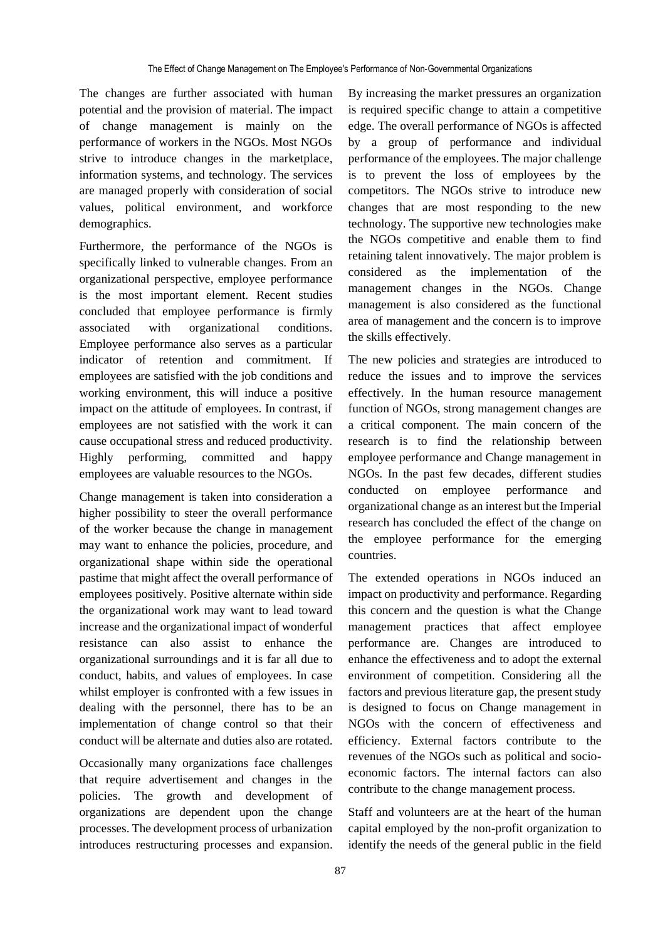The changes are further associated with human potential and the provision of material. The impact of change management is mainly on the performance of workers in the NGOs. Most NGOs strive to introduce changes in the marketplace, information systems, and technology. The services are managed properly with consideration of social values, political environment, and workforce demographics.

Furthermore, the performance of the NGOs is specifically linked to vulnerable changes. From an organizational perspective, employee performance is the most important element. Recent studies concluded that employee performance is firmly associated with organizational conditions. Employee performance also serves as a particular indicator of retention and commitment. If employees are satisfied with the job conditions and working environment, this will induce a positive impact on the attitude of employees. In contrast, if employees are not satisfied with the work it can cause occupational stress and reduced productivity. Highly performing, committed and happy employees are valuable resources to the NGOs.

Change management is taken into consideration a higher possibility to steer the overall performance of the worker because the change in management may want to enhance the policies, procedure, and organizational shape within side the operational pastime that might affect the overall performance of employees positively. Positive alternate within side the organizational work may want to lead toward increase and the organizational impact of wonderful resistance can also assist to enhance the organizational surroundings and it is far all due to conduct, habits, and values of employees. In case whilst employer is confronted with a few issues in dealing with the personnel, there has to be an implementation of change control so that their conduct will be alternate and duties also are rotated.

Occasionally many organizations face challenges that require advertisement and changes in the policies. The growth and development of organizations are dependent upon the change processes. The development process of urbanization introduces restructuring processes and expansion.

By increasing the market pressures an organization is required specific change to attain a competitive edge. The overall performance of NGOs is affected by a group of performance and individual performance of the employees. The major challenge is to prevent the loss of employees by the competitors. The NGOs strive to introduce new changes that are most responding to the new technology. The supportive new technologies make the NGOs competitive and enable them to find retaining talent innovatively. The major problem is considered as the implementation of the management changes in the NGOs. Change management is also considered as the functional area of management and the concern is to improve the skills effectively.

The new policies and strategies are introduced to reduce the issues and to improve the services effectively. In the human resource management function of NGOs, strong management changes are a critical component. The main concern of the research is to find the relationship between employee performance and Change management in NGOs. In the past few decades, different studies conducted on employee performance and organizational change as an interest but the Imperial research has concluded the effect of the change on the employee performance for the emerging countries.

The extended operations in NGOs induced an impact on productivity and performance. Regarding this concern and the question is what the Change management practices that affect employee performance are. Changes are introduced to enhance the effectiveness and to adopt the external environment of competition. Considering all the factors and previous literature gap, the present study is designed to focus on Change management in NGOs with the concern of effectiveness and efficiency. External factors contribute to the revenues of the NGOs such as political and socioeconomic factors. The internal factors can also contribute to the change management process.

Staff and volunteers are at the heart of the human capital employed by the non-profit organization to identify the needs of the general public in the field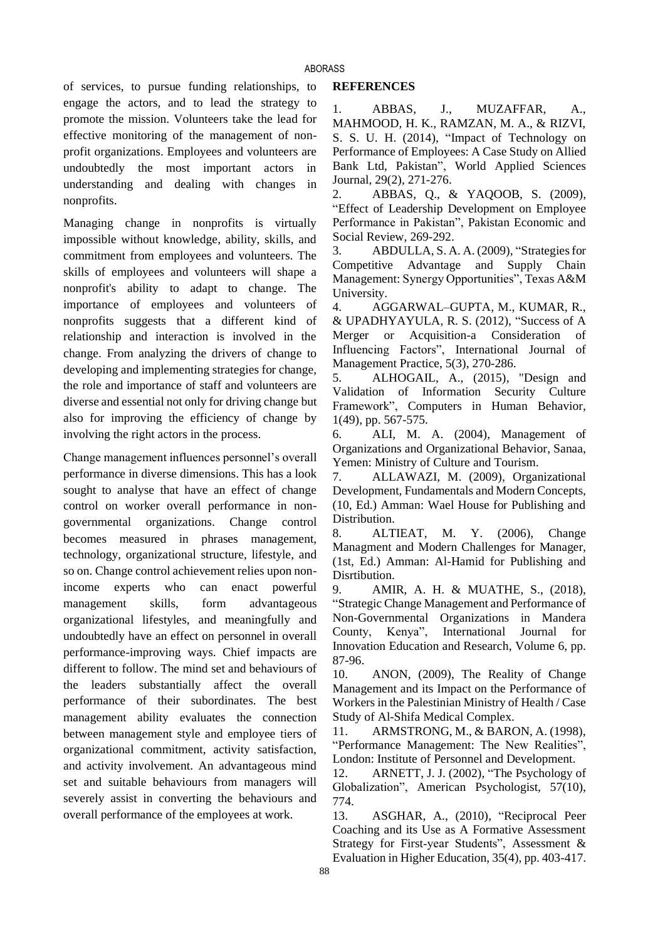of services, to pursue funding relationships, to engage the actors, and to lead the strategy to promote the mission. Volunteers take the lead for effective monitoring of the management of nonprofit organizations. Employees and volunteers are undoubtedly the most important actors in understanding and dealing with changes in nonprofits.

Managing change in nonprofits is virtually impossible without knowledge, ability, skills, and commitment from employees and volunteers. The skills of employees and volunteers will shape a nonprofit's ability to adapt to change. The importance of employees and volunteers of nonprofits suggests that a different kind of relationship and interaction is involved in the change. From analyzing the drivers of change to developing and implementing strategies for change, the role and importance of staff and volunteers are diverse and essential not only for driving change but also for improving the efficiency of change by involving the right actors in the process.

Change management influences personnel's overall performance in diverse dimensions. This has a look sought to analyse that have an effect of change control on worker overall performance in nongovernmental organizations. Change control becomes measured in phrases management, technology, organizational structure, lifestyle, and so on. Change control achievement relies upon nonincome experts who can enact powerful management skills, form advantageous organizational lifestyles, and meaningfully and undoubtedly have an effect on personnel in overall performance-improving ways. Chief impacts are different to follow. The mind set and behaviours of the leaders substantially affect the overall performance of their subordinates. The best management ability evaluates the connection between management style and employee tiers of organizational commitment, activity satisfaction, and activity involvement. An advantageous mind set and suitable behaviours from managers will severely assist in converting the behaviours and overall performance of the employees at work.

### **REFERENCES**

1. ABBAS, J., MUZAFFAR, A., MAHMOOD, H. K., RAMZAN, M. A., & RIZVI, S. S. U. H. (2014), "Impact of Technology on Performance of Employees: A Case Study on Allied Bank Ltd, Pakistan", World Applied Sciences Journal, 29(2), 271-276.

2. ABBAS, Q., & YAQOOB, S. (2009), "Effect of Leadership Development on Employee Performance in Pakistan", Pakistan Economic and Social Review, 269-292.

3. ABDULLA, S. A. A. (2009), "Strategies for Competitive Advantage and Supply Chain Management: Synergy Opportunities", Texas A&M University.

4. AGGARWAL–GUPTA, M., KUMAR, R., & UPADHYAYULA, R. S. (2012), "Success of A Merger or Acquisition-a Consideration of Influencing Factors", International Journal of Management Practice, 5(3), 270-286.

5. ALHOGAIL, A., (2015), "Design and Validation of Information Security Culture Framework", Computers in Human Behavior, 1(49), pp. 567-575.

6. ALI, M. A. (2004), Management of Organizations and Organizational Behavior, Sanaa, Yemen: Ministry of Culture and Tourism.

7. ALLAWAZI, M. (2009), Organizational Development, Fundamentals and Modern Concepts, (10, Ed.) Amman: Wael House for Publishing and Distribution.

8. ALTIEAT, M. Y. (2006), Change Managment and Modern Challenges for Manager, (1st, Ed.) Amman: Al-Hamid for Publishing and Disrtibution.

9. AMIR, A. H. & MUATHE, S., (2018), "Strategic Change Management and Performance of Non-Governmental Organizations in Mandera County, Kenya", International Journal for Innovation Education and Research, Volume 6, pp. 87-96.

10. ANON, (2009), The Reality of Change Management and its Impact on the Performance of Workers in the Palestinian Ministry of Health / Case Study of Al-Shifa Medical Complex.

11. ARMSTRONG, M., & BARON, A. (1998), "Performance Management: The New Realities", London: Institute of Personnel and Development.

12. ARNETT, J. J. (2002), "The Psychology of Globalization", American Psychologist, 57(10), 774.

13. ASGHAR, A., (2010), "Reciprocal Peer Coaching and its Use as A Formative Assessment Strategy for First‐year Students", Assessment & Evaluation in Higher Education, 35(4), pp. 403-417.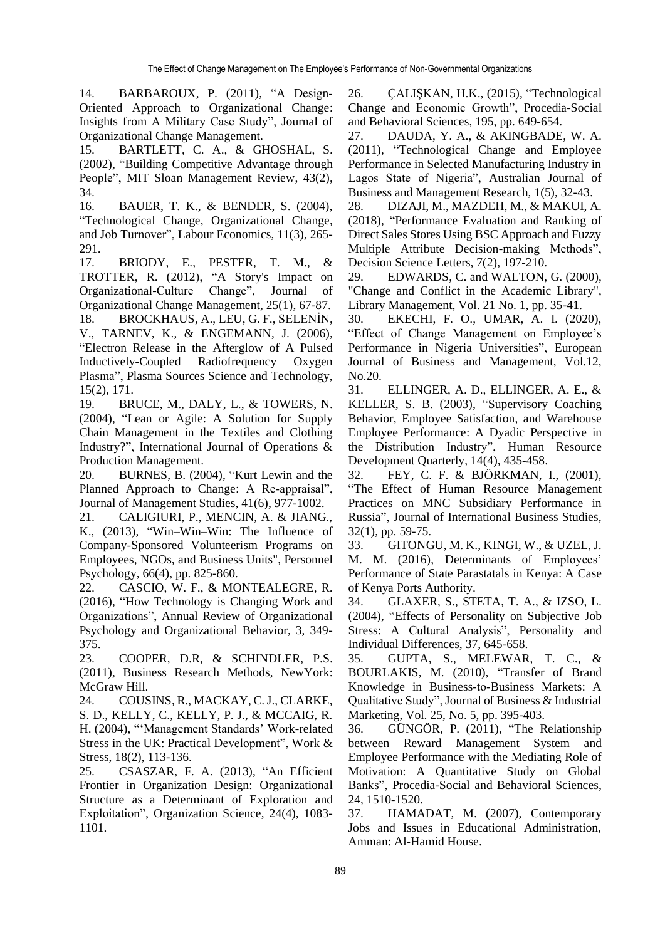14. BARBAROUX, P. (2011), "A Design-Oriented Approach to Organizational Change: Insights from A Military Case Study", Journal of Organizational Change Management.

15. BARTLETT, C. A., & GHOSHAL, S. (2002), "Building Competitive Advantage through People", MIT Sloan Management Review, 43(2), 34.

16. BAUER, T. K., & BENDER, S. (2004), "Technological Change, Organizational Change, and Job Turnover", Labour Economics, 11(3), 265- 291.

17. BRIODY, E., PESTER, T. M., & TROTTER, R. (2012), "A Story's Impact on Organizational-Culture Change", Journal of Organizational Change Management, 25(1), 67-87. 18. BROCKHAUS, A., LEU, G. F., SELENİN, V., TARNEV, K., & ENGEMANN, J. (2006), "Electron Release in the Afterglow of A Pulsed Inductively-Coupled Radiofrequency Oxygen Plasma", Plasma Sources Science and Technology, 15(2), 171.

19. BRUCE, M., DALY, L., & TOWERS, N. (2004), "Lean or Agile: A Solution for Supply Chain Management in the Textiles and Clothing Industry?", International Journal of Operations & Production Management.

20. BURNES, B. (2004), "Kurt Lewin and the Planned Approach to Change: A Re‐appraisal", Journal of Management Studies, 41(6), 977-1002.

21. CALIGIURI, P., MENCIN, A. & JIANG., K., (2013), "Win–Win–Win: The Influence of Company‐Sponsored Volunteerism Programs on Employees, NGOs, and Business Units", Personnel Psychology, 66(4), pp. 825-860.

22. CASCIO, W. F., & MONTEALEGRE, R. (2016), "How Technology is Changing Work and Organizations", Annual Review of Organizational Psychology and Organizational Behavior, 3, 349- 375.

23. COOPER, D.R, & SCHINDLER, P.S. (2011), Business Research Methods, NewYork: McGraw Hill.

24. COUSINS, R., MACKAY, C. J., CLARKE, S. D., KELLY, C., KELLY, P. J., & MCCAIG, R. H. (2004), "'Management Standards' Work-related Stress in the UK: Practical Development", Work & Stress, 18(2), 113-136.

25. CSASZAR, F. A. (2013), "An Efficient Frontier in Organization Design: Organizational Structure as a Determinant of Exploration and Exploitation", Organization Science, 24(4), 1083- 1101.

26. ÇALIŞKAN, H.K., (2015), "Technological Change and Economic Growth", Procedia-Social and Behavioral Sciences, 195, pp. 649-654.

27. DAUDA, Y. A., & AKINGBADE, W. A. (2011), "Technological Change and Employee Performance in Selected Manufacturing Industry in Lagos State of Nigeria", Australian Journal of Business and Management Research, 1(5), 32-43.

28. DIZAJI, M., MAZDEH, M., & MAKUI, A. (2018), "Performance Evaluation and Ranking of Direct Sales Stores Using BSC Approach and Fuzzy Multiple Attribute Decision-making Methods", Decision Science Letters, 7(2), 197-210.

29. EDWARDS, C. and WALTON, G. (2000), "Change and Conflict in the Academic Library", Library Management, Vol. 21 No. 1, pp. 35-41.

30. EKECHI, F. O., UMAR, A. I. (2020), "Effect of Change Management on Employee's Performance in Nigeria Universities", European Journal of Business and Management, Vol.12, No.20.

31. ELLINGER, A. D., ELLINGER, A. E., & KELLER, S. B. (2003), "Supervisory Coaching Behavior, Employee Satisfaction, and Warehouse Employee Performance: A Dyadic Perspective in the Distribution Industry", Human Resource Development Quarterly, 14(4), 435-458.

32. FEY, C. F. & BJÖRKMAN, I., (2001), "The Effect of Human Resource Management Practices on MNC Subsidiary Performance in Russia", Journal of International Business Studies, 32(1), pp. 59-75.

33. GITONGU, M. K., KINGI, W., & UZEL, J. M. M. (2016), Determinants of Employees' Performance of State Parastatals in Kenya: A Case of Kenya Ports Authority.

34. GLAXER, S., STETA, T. A., & IZSO, L. (2004), "Effects of Personality on Subjective Job Stress: A Cultural Analysis", Personality and Individual Differences, 37, 645-658.

35. GUPTA, S., MELEWAR, T. C., & BOURLAKIS, M. (2010), "Transfer of Brand Knowledge in Business‐to‐Business Markets: A Qualitative Study",Journal of Business & Industrial Marketing, Vol. 25, No. 5, pp. 395-403.

36. GÜNGÖR, P. (2011), "The Relationship between Reward Management System and Employee Performance with the Mediating Role of Motivation: A Quantitative Study on Global Banks", Procedia-Social and Behavioral Sciences, 24, 1510-1520.

37. HAMADAT, M. (2007), Contemporary Jobs and Issues in Educational Administration, Amman: Al-Hamid House.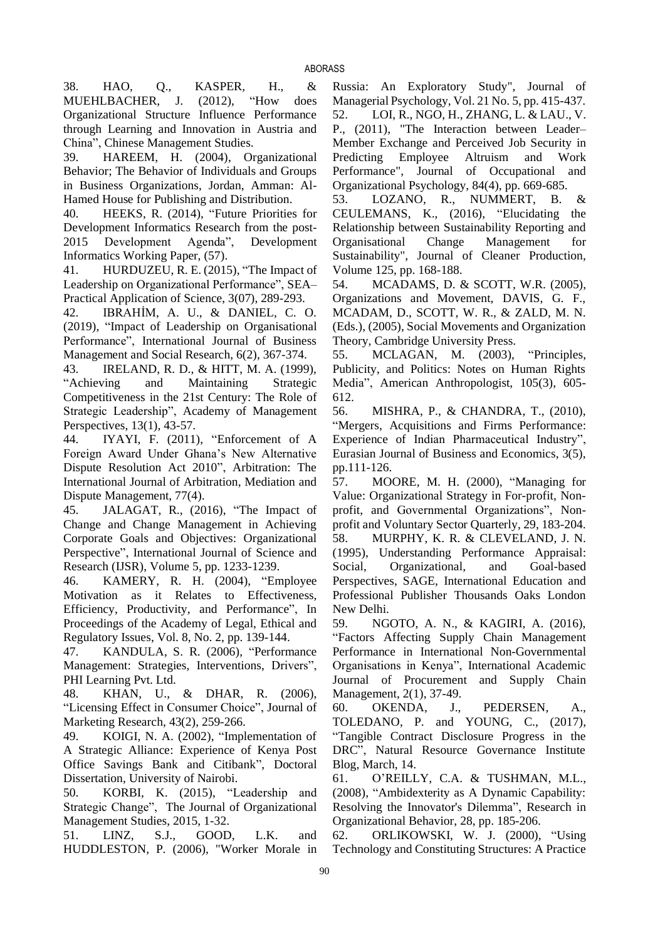38. HAO, Q., KASPER, H., & MUEHLBACHER, J. (2012), "How does Organizational Structure Influence Performance through Learning and Innovation in Austria and China", Chinese Management Studies.

39. HAREEM, H. (2004), Organizational Behavior; The Behavior of Individuals and Groups in Business Organizations, Jordan, Amman: Al-Hamed House for Publishing and Distribution.

40. HEEKS, R. (2014), "Future Priorities for Development Informatics Research from the post-2015 Development Agenda", Development Informatics Working Paper, (57).

41. HURDUZEU, R. E. (2015), "The Impact of Leadership on Organizational Performance", SEA– Practical Application of Science, 3(07), 289-293.

42. IBRAHİM, A. U., & DANIEL, C. O. (2019), "Impact of Leadership on Organisational Performance", International Journal of Business Management and Social Research, 6(2), 367-374.

43. IRELAND, R. D., & HITT, M. A. (1999), "Achieving and Maintaining Strategic Competitiveness in the 21st Century: The Role of Strategic Leadership", Academy of Management Perspectives, 13(1), 43-57.

44. IYAYI, F. (2011), "Enforcement of A Foreign Award Under Ghana's New Alternative Dispute Resolution Act 2010", Arbitration: The International Journal of Arbitration, Mediation and Dispute Management, 77(4).

45. JALAGAT, R., (2016), "The Impact of Change and Change Management in Achieving Corporate Goals and Objectives: Organizational Perspective", International Journal of Science and Research (IJSR), Volume 5, pp. 1233-1239.

46. KAMERY, R. H. (2004), "Employee Motivation as it Relates to Effectiveness, Efficiency, Productivity, and Performance", In Proceedings of the Academy of Legal, Ethical and Regulatory Issues, Vol. 8, No. 2, pp. 139-144.

47. KANDULA, S. R. (2006), "Performance Management: Strategies, Interventions, Drivers", PHI Learning Pvt. Ltd.

48. KHAN, U., & DHAR, R. (2006), "Licensing Effect in Consumer Choice", Journal of Marketing Research, 43(2), 259-266.

49. KOIGI, N. A. (2002), "Implementation of A Strategic Alliance: Experience of Kenya Post Office Savings Bank and Citibank", Doctoral Dissertation, University of Nairobi.

50. KORBI, K. (2015), "Leadership and Strategic Change", The Journal of Organizational Management Studies, 2015, 1-32.

51. LINZ, S.J., GOOD, L.K. and HUDDLESTON, P. (2006), "Worker Morale in Russia: An Exploratory Study", Journal of Managerial Psychology, Vol. 21 No. 5, pp. 415-437. 52. LOI, R., NGO, H., ZHANG, L. & LAU., V. P., (2011), "The Interaction between Leader– Member Exchange and Perceived Job Security in Predicting Employee Altruism and Work Performance", Journal of Occupational and Organizational Psychology, 84(4), pp. 669-685.

53. LOZANO, R., NUMMERT, B. & CEULEMANS, K., (2016), "Elucidating the Relationship between Sustainability Reporting and Organisational Change Management for Sustainability", Journal of Cleaner Production, Volume 125, pp. 168-188.

54. MCADAMS, D. & SCOTT, W.R. (2005), Organizations and Movement, DAVIS, G. F., MCADAM, D., SCOTT, W. R., & ZALD, M. N. (Eds.), (2005), Social Movements and Organization Theory, Cambridge University Press.

55. MCLAGAN, M. (2003), "Principles, Publicity, and Politics: Notes on Human Rights Media", American Anthropologist, 105(3), 605- 612.

56. MISHRA, P., & CHANDRA, T., (2010), "Mergers, Acquisitions and Firms Performance: Experience of Indian Pharmaceutical Industry", Eurasian Journal of Business and Economics, 3(5), pp.111-126.

57. MOORE, M. H. (2000), "Managing for Value: Organizational Strategy in For-profit, Nonprofit, and Governmental Organizations", Nonprofit and Voluntary Sector Quarterly, 29, 183-204. 58. MURPHY, K. R. & CLEVELAND, J. N. (1995), Understanding Performance Appraisal: Social, Organizational, and Goal-based Perspectives, SAGE, International Education and Professional Publisher Thousands Oaks London New Delhi.

59. NGOTO, A. N., & KAGIRI, A. (2016), "Factors Affecting Supply Chain Management Performance in International Non-Governmental Organisations in Kenya", International Academic Journal of Procurement and Supply Chain Management, 2(1), 37-49.

60. OKENDA, J., PEDERSEN, A., TOLEDANO, P. and YOUNG, C., (2017), "Tangible Contract Disclosure Progress in the DRC", Natural Resource Governance Institute Blog, March, 14.

61. O'REILLY, C.A. & TUSHMAN, M.L., (2008), "Ambidexterity as A Dynamic Capability: Resolving the Innovator's Dilemma", Research in Organizational Behavior, 28, pp. 185-206.

62. ORLIKOWSKI, W. J. (2000), "Using Technology and Constituting Structures: A Practice